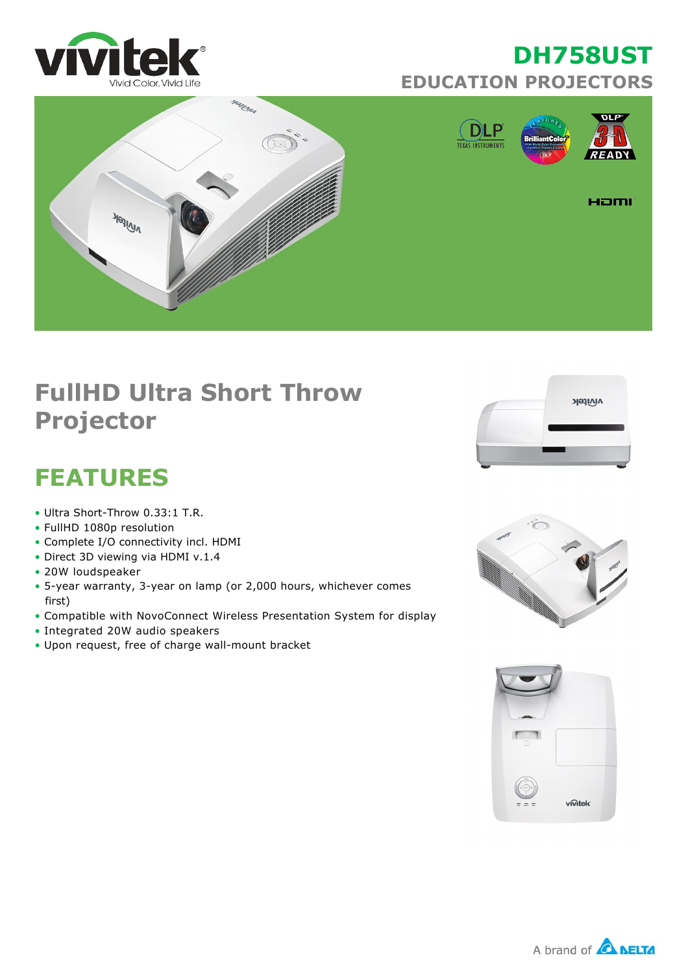





## **FullHD Ultra Short Throw Projector**

## **FEATURES**

- $\bullet$  Ultra Short-Throw 0.33:1 T.R.
- FullHD 1080p resolution
- Complete I/O connectivity incl. HDMI
- Direct 3D viewing via HDMI v.1.4
- 20W loudspeaker
- 5-year warranty, 3-year on lamp (or 2,000 hours, whichever comes first)
- Compatible with NovoConnect Wireless Presentation System for display
- Integrated 20W audio speakers
- Upon request, free of charge wall-mount bracket